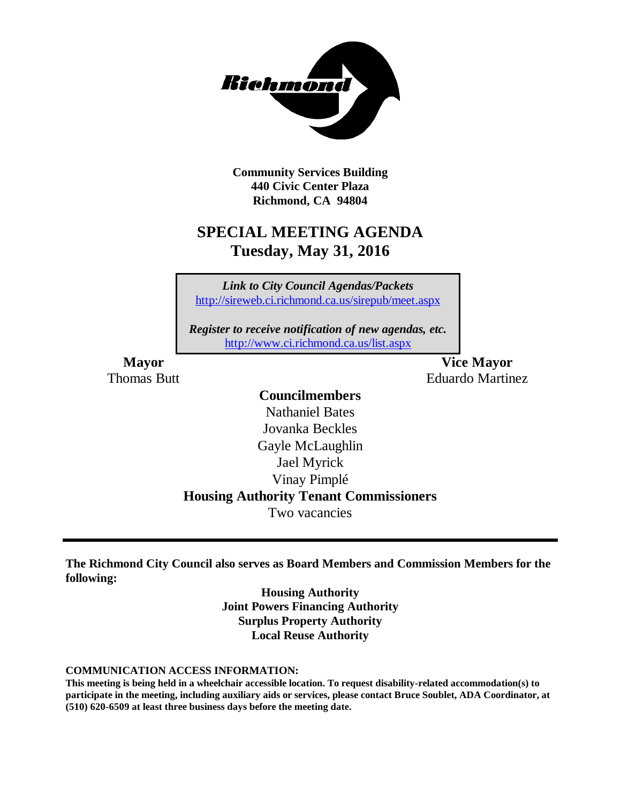

**Community Services Building 440 Civic Center Plaza Richmond, CA 94804**

### **SPECIAL MEETING AGENDA Tuesday, May 31, 2016**

*Link to City Council Agendas/Packets* <http://sireweb.ci.richmond.ca.us/sirepub/meet.aspx>

*Register to receive notification of new agendas, etc.* <http://www.ci.richmond.ca.us/list.aspx>

**Mayor Vice Mayor** Thomas Butt **Eduardo Martinez** 

### **Councilmembers**

Nathaniel Bates Jovanka Beckles Gayle McLaughlin Jael Myrick Vinay Pimplé **Housing Authority Tenant Commissioners** Two vacancies

**The Richmond City Council also serves as Board Members and Commission Members for the following:**

> **Housing Authority Joint Powers Financing Authority Surplus Property Authority Local Reuse Authority**

**COMMUNICATION ACCESS INFORMATION:**

**This meeting is being held in a wheelchair accessible location. To request disability-related accommodation(s) to participate in the meeting, including auxiliary aids or services, please contact Bruce Soublet, ADA Coordinator, at (510) 620-6509 at least three business days before the meeting date.**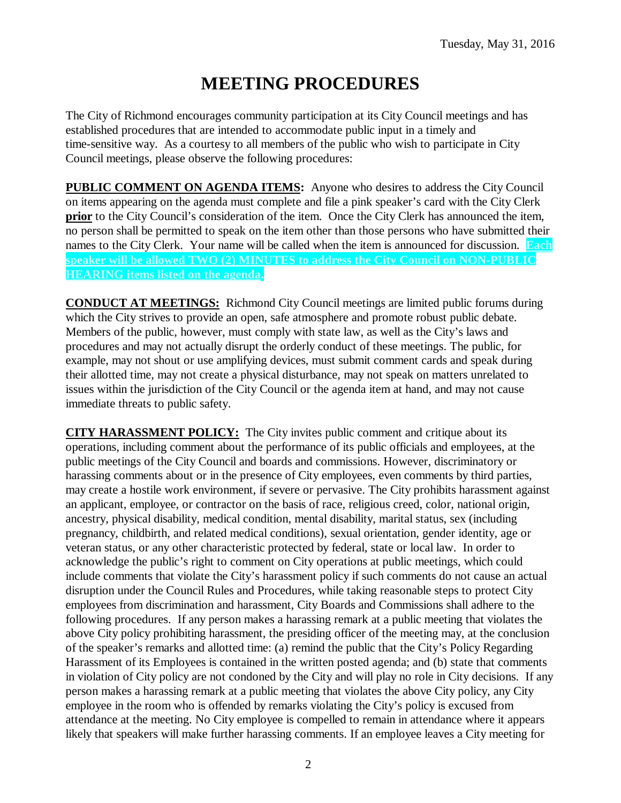# **MEETING PROCEDURES**

The City of Richmond encourages community participation at its City Council meetings and has established procedures that are intended to accommodate public input in a timely and time-sensitive way. As a courtesy to all members of the public who wish to participate in City Council meetings, please observe the following procedures:

**PUBLIC COMMENT ON AGENDA ITEMS:** Anyone who desires to address the City Council on items appearing on the agenda must complete and file a pink speaker's card with the City Clerk **prior** to the City Council's consideration of the item. Once the City Clerk has announced the item, no person shall be permitted to speak on the item other than those persons who have submitted their names to the City Clerk. Your name will be called when the item is announced for discussion. **Each speaker will be allowed TWO (2) MINUTES to address the City Council on NON-PUBLIC HEARING items listed on the agenda.**

**CONDUCT AT MEETINGS:** Richmond City Council meetings are limited public forums during which the City strives to provide an open, safe atmosphere and promote robust public debate. Members of the public, however, must comply with state law, as well as the City's laws and procedures and may not actually disrupt the orderly conduct of these meetings. The public, for example, may not shout or use amplifying devices, must submit comment cards and speak during their allotted time, may not create a physical disturbance, may not speak on matters unrelated to issues within the jurisdiction of the City Council or the agenda item at hand, and may not cause immediate threats to public safety.

**CITY HARASSMENT POLICY:** The City invites public comment and critique about its operations, including comment about the performance of its public officials and employees, at the public meetings of the City Council and boards and commissions. However, discriminatory or harassing comments about or in the presence of City employees, even comments by third parties, may create a hostile work environment, if severe or pervasive. The City prohibits harassment against an applicant, employee, or contractor on the basis of race, religious creed, color, national origin, ancestry, physical disability, medical condition, mental disability, marital status, sex (including pregnancy, childbirth, and related medical conditions), sexual orientation, gender identity, age or veteran status, or any other characteristic protected by federal, state or local law. In order to acknowledge the public's right to comment on City operations at public meetings, which could include comments that violate the City's harassment policy if such comments do not cause an actual disruption under the Council Rules and Procedures, while taking reasonable steps to protect City employees from discrimination and harassment, City Boards and Commissions shall adhere to the following procedures. If any person makes a harassing remark at a public meeting that violates the above City policy prohibiting harassment, the presiding officer of the meeting may, at the conclusion of the speaker's remarks and allotted time: (a) remind the public that the City's Policy Regarding Harassment of its Employees is contained in the written posted agenda; and (b) state that comments in violation of City policy are not condoned by the City and will play no role in City decisions. If any person makes a harassing remark at a public meeting that violates the above City policy, any City employee in the room who is offended by remarks violating the City's policy is excused from attendance at the meeting. No City employee is compelled to remain in attendance where it appears likely that speakers will make further harassing comments. If an employee leaves a City meeting for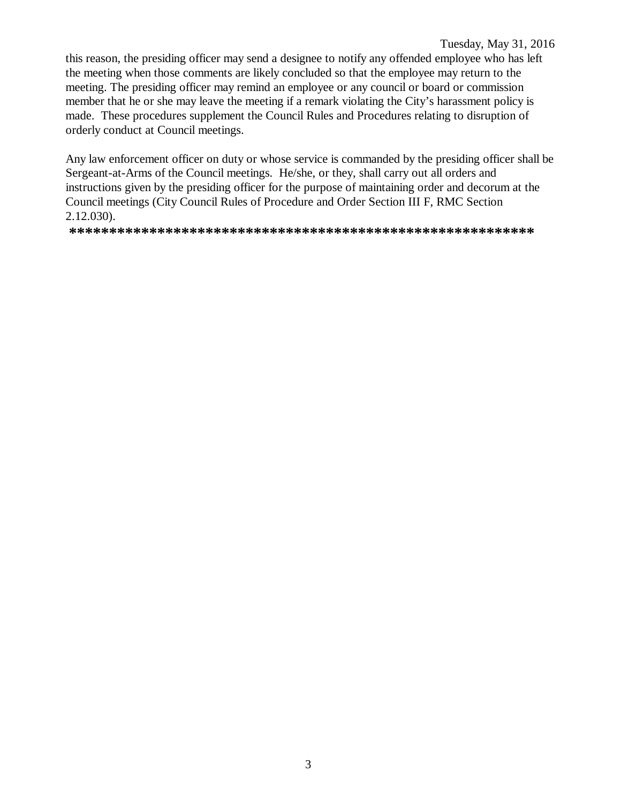#### Tuesday, May 31, 2016

this reason, the presiding officer may send a designee to notify any offended employee who has left the meeting when those comments are likely concluded so that the employee may return to the meeting. The presiding officer may remind an employee or any council or board or commission member that he or she may leave the meeting if a remark violating the City's harassment policy is made. These procedures supplement the Council Rules and Procedures relating to disruption of orderly conduct at Council meetings.

Any law enforcement officer on duty or whose service is commanded by the presiding officer shall be Sergeant-at-Arms of the Council meetings. He/she, or they, shall carry out all orders and instructions given by the presiding officer for the purpose of maintaining order and decorum at the Council meetings (City Council Rules of Procedure and Order Section III F, RMC Section  $2.12.030$ ).